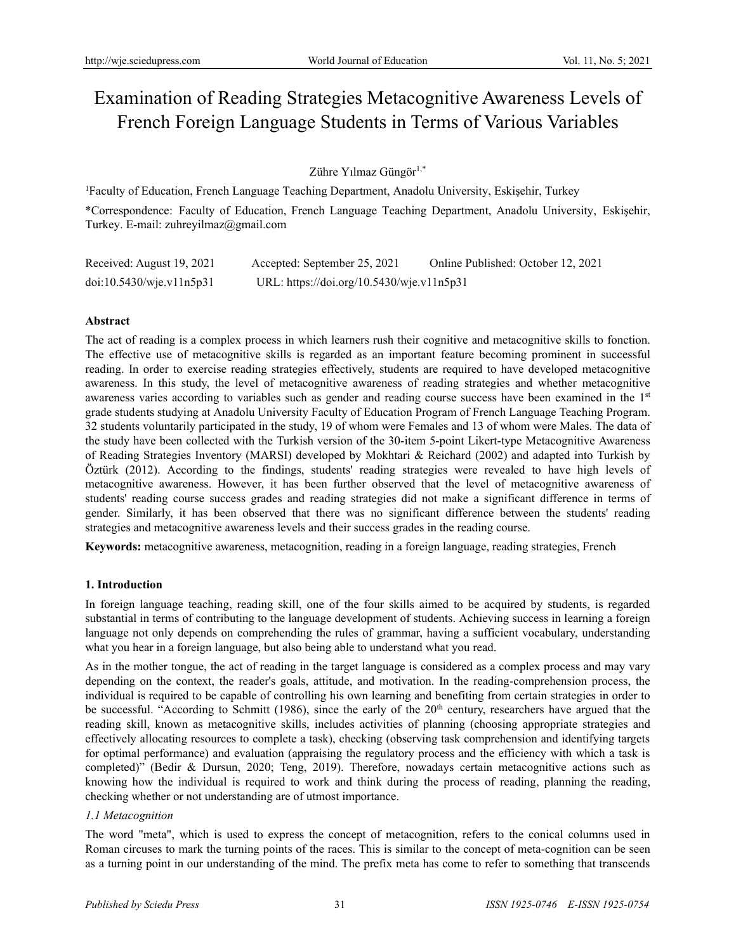# Examination of Reading Strategies Metacognitive Awareness Levels of French Foreign Language Students in Terms of Various Variables

Zühre Yılmaz Güngör<sup>1,\*</sup>

<sup>1</sup>Faculty of Education, French Language Teaching Department, Anadolu University, Eskişehir, Turkey \*Correspondence: Faculty of Education, French Language Teaching Department, Anadolu University, Eskişehir, Turkey. E-mail: zuhreyilmaz@gmail.com

| Received: August 19, 2021 | Accepted: September 25, 2021              | Online Published: October 12, 2021 |
|---------------------------|-------------------------------------------|------------------------------------|
| doi:10.5430/wje.v11n5p31  | URL: https://doi.org/10.5430/wje.v11n5p31 |                                    |

## **Abstract**

The act of reading is a complex process in which learners rush their cognitive and metacognitive skills to fonction. The effective use of metacognitive skills is regarded as an important feature becoming prominent in successful reading. In order to exercise reading strategies effectively, students are required to have developed metacognitive awareness. In this study, the level of metacognitive awareness of reading strategies and whether metacognitive awareness varies according to variables such as gender and reading course success have been examined in the 1<sup>st</sup> grade students studying at Anadolu University Faculty of Education Program of French Language Teaching Program. 32 students voluntarily participated in the study, 19 of whom were Females and 13 of whom were Males. The data of the study have been collected with the Turkish version of the 30-item 5-point Likert-type Metacognitive Awareness of Reading Strategies Inventory (MARSI) developed by Mokhtari & Reichard (2002) and adapted into Turkish by Öztürk (2012). According to the findings, students' reading strategies were revealed to have high levels of metacognitive awareness. However, it has been further observed that the level of metacognitive awareness of students' reading course success grades and reading strategies did not make a significant difference in terms of gender. Similarly, it has been observed that there was no significant difference between the students' reading strategies and metacognitive awareness levels and their success grades in the reading course.

**Keywords:** metacognitive awareness, metacognition, reading in a foreign language, reading strategies, French

# **1. Introduction**

In foreign language teaching, reading skill, one of the four skills aimed to be acquired by students, is regarded substantial in terms of contributing to the language development of students. Achieving success in learning a foreign language not only depends on comprehending the rules of grammar, having a sufficient vocabulary, understanding what you hear in a foreign language, but also being able to understand what you read.

As in the mother tongue, the act of reading in the target language is considered as a complex process and may vary depending on the context, the reader's goals, attitude, and motivation. In the reading-comprehension process, the individual is required to be capable of controlling his own learning and benefiting from certain strategies in order to be successful. "According to Schmitt (1986), since the early of the  $20<sup>th</sup>$  century, researchers have argued that the reading skill, known as metacognitive skills, includes activities of planning (choosing appropriate strategies and effectively allocating resources to complete a task), checking (observing task comprehension and identifying targets for optimal performance) and evaluation (appraising the regulatory process and the efficiency with which a task is completed)" (Bedir & Dursun, 2020; Teng, 2019). Therefore, nowadays certain metacognitive actions such as knowing how the individual is required to work and think during the process of reading, planning the reading, checking whether or not understanding are of utmost importance.

# *1.1 Metacognition*

The word "meta", which is used to express the concept of metacognition, refers to the conical columns used in Roman circuses to mark the turning points of the races. This is similar to the concept of meta-cognition can be seen as a turning point in our understanding of the mind. The prefix meta has come to refer to something that transcends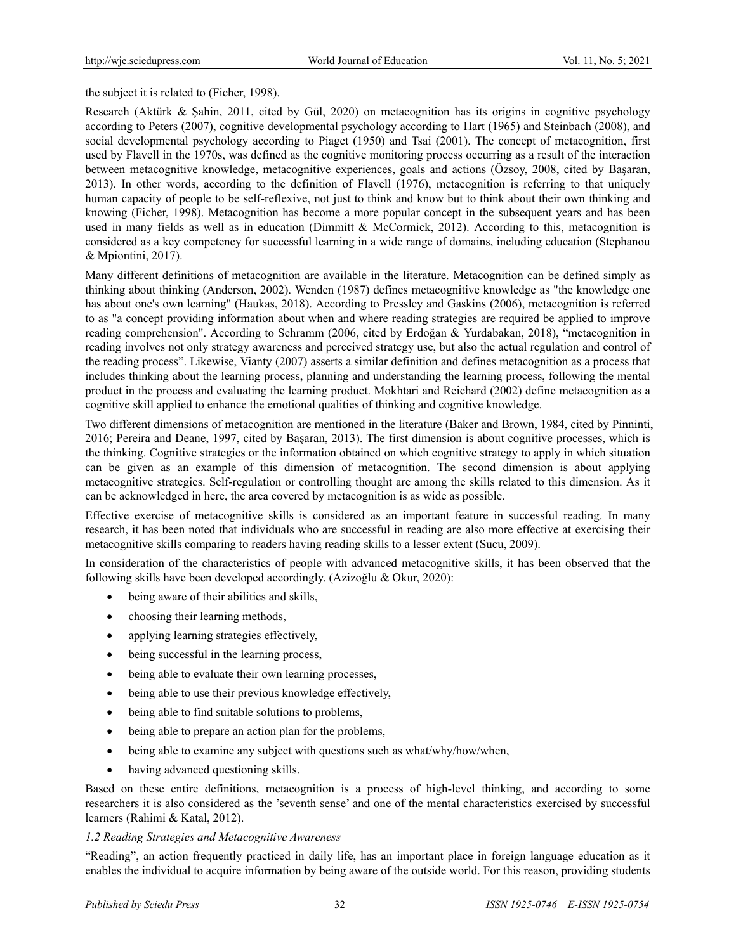the subject it is related to (Ficher, 1998).

Research (Aktürk & Şahin, 2011, cited by Gül, 2020) on metacognition has its origins in cognitive psychology according to Peters (2007), cognitive developmental psychology according to Hart (1965) and Steinbach (2008), and social developmental psychology according to Piaget (1950) and Tsai (2001). The concept of metacognition, first used by Flavell in the 1970s, was defined as the cognitive monitoring process occurring as a result of the interaction between metacognitive knowledge, metacognitive experiences, goals and actions (Özsoy, 2008, cited by Başaran, 2013). In other words, according to the definition of Flavell (1976), metacognition is referring to that uniquely human capacity of people to be self-reflexive, not just to think and know but to think about their own thinking and knowing (Ficher, 1998). Metacognition has become a more popular concept in the subsequent years and has been used in many fields as well as in education (Dimmitt & McCormick, 2012). According to this, metacognition is considered as a key competency for successful learning in a wide range of domains, including education (Stephanou & Mpiontini, 2017).

Many different definitions of metacognition are available in the literature. Metacognition can be defined simply as thinking about thinking (Anderson, 2002). Wenden (1987) defines metacognitive knowledge as "the knowledge one has about one's own learning" (Haukas, 2018). According to Pressley and Gaskins (2006), metacognition is referred to as "a concept providing information about when and where reading strategies are required be applied to improve reading comprehension". According to Schramm (2006, cited by Erdoğan & Yurdabakan, 2018), "metacognition in reading involves not only strategy awareness and perceived strategy use, but also the actual regulation and control of the reading process". Likewise, Vianty (2007) asserts a similar definition and defines metacognition as a process that includes thinking about the learning process, planning and understanding the learning process, following the mental product in the process and evaluating the learning product. Mokhtari and Reichard (2002) define metacognition as a cognitive skill applied to enhance the emotional qualities of thinking and cognitive knowledge.

Two different dimensions of metacognition are mentioned in the literature (Baker and Brown, 1984, cited by Pinninti, 2016; Pereira and Deane, 1997, cited by Başaran, 2013). The first dimension is about cognitive processes, which is the thinking. Cognitive strategies or the information obtained on which cognitive strategy to apply in which situation can be given as an example of this dimension of metacognition. The second dimension is about applying metacognitive strategies. Self-regulation or controlling thought are among the skills related to this dimension. As it can be acknowledged in here, the area covered by metacognition is as wide as possible.

Effective exercise of metacognitive skills is considered as an important feature in successful reading. In many research, it has been noted that individuals who are successful in reading are also more effective at exercising their metacognitive skills comparing to readers having reading skills to a lesser extent (Sucu, 2009).

In consideration of the characteristics of people with advanced metacognitive skills, it has been observed that the following skills have been developed accordingly. (Azizoğlu & Okur, 2020):

- being aware of their abilities and skills,
- choosing their learning methods,
- applying learning strategies effectively,
- being successful in the learning process,
- being able to evaluate their own learning processes,
- being able to use their previous knowledge effectively,
- being able to find suitable solutions to problems,
- being able to prepare an action plan for the problems,
- being able to examine any subject with questions such as what/why/how/when,
- having advanced questioning skills.

Based on these entire definitions, metacognition is a process of high-level thinking, and according to some researchers it is also considered as the 'seventh sense' and one of the mental characteristics exercised by successful learners (Rahimi & Katal, 2012).

## *1.2 Reading Strategies and Metacognitive Awareness*

"Reading", an action frequently practiced in daily life, has an important place in foreign language education as it enables the individual to acquire information by being aware of the outside world. For this reason, providing students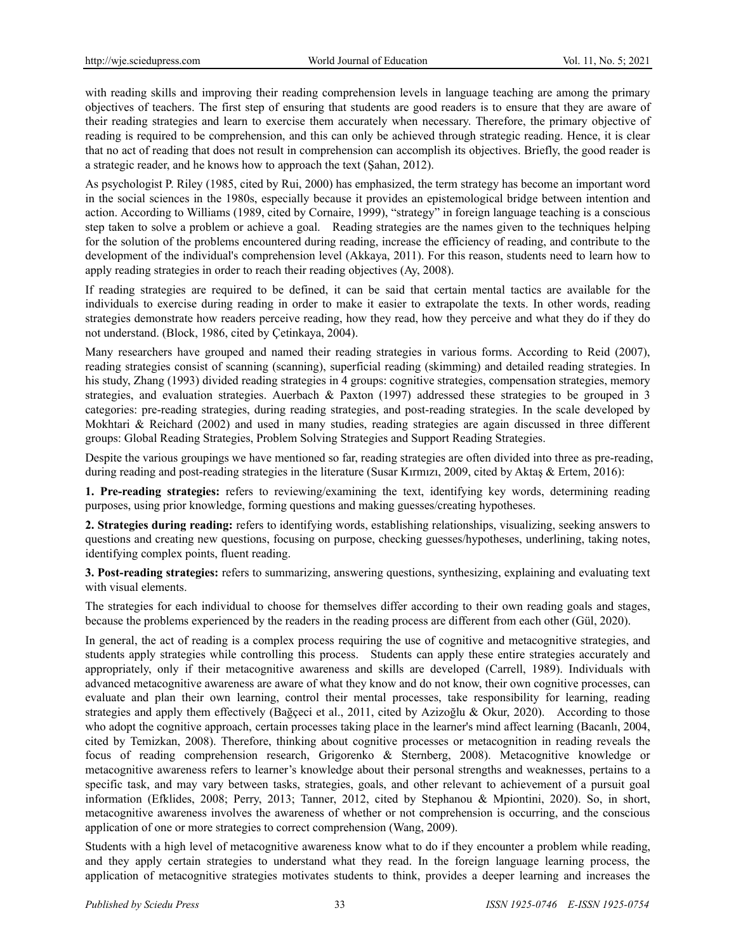with reading skills and improving their reading comprehension levels in language teaching are among the primary objectives of teachers. The first step of ensuring that students are good readers is to ensure that they are aware of their reading strategies and learn to exercise them accurately when necessary. Therefore, the primary objective of reading is required to be comprehension, and this can only be achieved through strategic reading. Hence, it is clear that no act of reading that does not result in comprehension can accomplish its objectives. Briefly, the good reader is a strategic reader, and he knows how to approach the text (Şahan, 2012).

As psychologist P. Riley (1985, cited by Rui, 2000) has emphasized, the term strategy has become an important word in the social sciences in the 1980s, especially because it provides an epistemological bridge between intention and action. According to Williams (1989, cited by Cornaire, 1999), "strategy" in foreign language teaching is a conscious step taken to solve a problem or achieve a goal. Reading strategies are the names given to the techniques helping for the solution of the problems encountered during reading, increase the efficiency of reading, and contribute to the development of the individual's comprehension level (Akkaya, 2011). For this reason, students need to learn how to apply reading strategies in order to reach their reading objectives (Ay, 2008).

If reading strategies are required to be defined, it can be said that certain mental tactics are available for the individuals to exercise during reading in order to make it easier to extrapolate the texts. In other words, reading strategies demonstrate how readers perceive reading, how they read, how they perceive and what they do if they do not understand. (Block, 1986, cited by Çetinkaya, 2004).

Many researchers have grouped and named their reading strategies in various forms. According to Reid (2007), reading strategies consist of scanning (scanning), superficial reading (skimming) and detailed reading strategies. In his study, Zhang (1993) divided reading strategies in 4 groups: cognitive strategies, compensation strategies, memory strategies, and evaluation strategies. Auerbach & Paxton (1997) addressed these strategies to be grouped in 3 categories: pre-reading strategies, during reading strategies, and post-reading strategies. In the scale developed by Mokhtari & Reichard (2002) and used in many studies, reading strategies are again discussed in three different groups: Global Reading Strategies, Problem Solving Strategies and Support Reading Strategies.

Despite the various groupings we have mentioned so far, reading strategies are often divided into three as pre-reading, during reading and post-reading strategies in the literature (Susar Kırmızı, 2009, cited by Aktas & Ertem, 2016):

**1. Pre-reading strategies:** refers to reviewing/examining the text, identifying key words, determining reading purposes, using prior knowledge, forming questions and making guesses/creating hypotheses.

**2. Strategies during reading:** refers to identifying words, establishing relationships, visualizing, seeking answers to questions and creating new questions, focusing on purpose, checking guesses/hypotheses, underlining, taking notes, identifying complex points, fluent reading.

**3. Post-reading strategies:** refers to summarizing, answering questions, synthesizing, explaining and evaluating text with visual elements.

The strategies for each individual to choose for themselves differ according to their own reading goals and stages, because the problems experienced by the readers in the reading process are different from each other (Gül, 2020).

In general, the act of reading is a complex process requiring the use of cognitive and metacognitive strategies, and students apply strategies while controlling this process. Students can apply these entire strategies accurately and appropriately, only if their metacognitive awareness and skills are developed (Carrell, 1989). Individuals with advanced metacognitive awareness are aware of what they know and do not know, their own cognitive processes, can evaluate and plan their own learning, control their mental processes, take responsibility for learning, reading strategies and apply them effectively (Bağçeci et al., 2011, cited by Azizoğlu & Okur, 2020). According to those who adopt the cognitive approach, certain processes taking place in the learner's mind affect learning (Bacanlı, 2004, cited by Temizkan, 2008). Therefore, thinking about cognitive processes or metacognition in reading reveals the focus of reading comprehension research, Grigorenko & Sternberg, 2008). Metacognitive knowledge or metacognitive awareness refers to learner's knowledge about their personal strengths and weaknesses, pertains to a specific task, and may vary between tasks, strategies, goals, and other relevant to achievement of a pursuit goal information (Efklides, 2008; Perry, 2013; Tanner, 2012, cited by Stephanou & Mpiontini, 2020). So, in short, metacognitive awareness involves the awareness of whether or not comprehension is occurring, and the conscious application of one or more strategies to correct comprehension (Wang, 2009).

Students with a high level of metacognitive awareness know what to do if they encounter a problem while reading, and they apply certain strategies to understand what they read. In the foreign language learning process, the application of metacognitive strategies motivates students to think, provides a deeper learning and increases the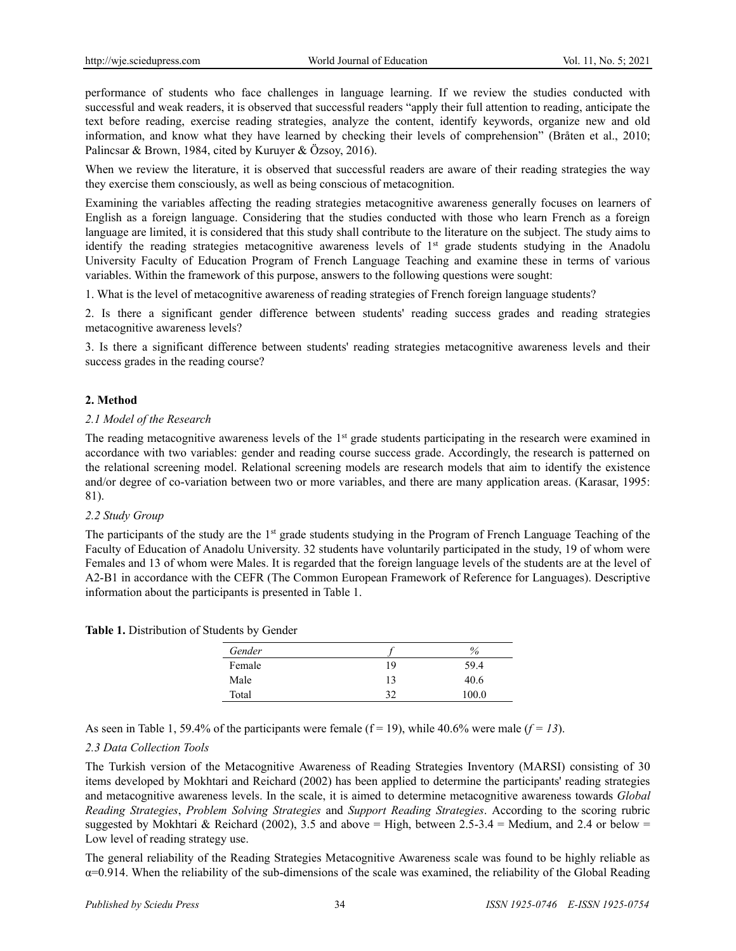performance of students who face challenges in language learning. If we review the studies conducted with successful and weak readers, it is observed that successful readers "apply their full attention to reading, anticipate the text before reading, exercise reading strategies, analyze the content, identify keywords, organize new and old information, and know what they have learned by checking their levels of comprehension" (Bråten et al., 2010; Palincsar & Brown, 1984, cited by Kuruyer & Özsoy, 2016).

When we review the literature, it is observed that successful readers are aware of their reading strategies the way they exercise them consciously, as well as being conscious of metacognition.

Examining the variables affecting the reading strategies metacognitive awareness generally focuses on learners of English as a foreign language. Considering that the studies conducted with those who learn French as a foreign language are limited, it is considered that this study shall contribute to the literature on the subject. The study aims to identify the reading strategies metacognitive awareness levels of 1<sup>st</sup> grade students studying in the Anadolu University Faculty of Education Program of French Language Teaching and examine these in terms of various variables. Within the framework of this purpose, answers to the following questions were sought:

1. What is the level of metacognitive awareness of reading strategies of French foreign language students?

2. Is there a significant gender difference between students' reading success grades and reading strategies metacognitive awareness levels?

3. Is there a significant difference between students' reading strategies metacognitive awareness levels and their success grades in the reading course?

## **2. Method**

### *2.1 Model of the Research*

The reading metacognitive awareness levels of the 1<sup>st</sup> grade students participating in the research were examined in accordance with two variables: gender and reading course success grade. Accordingly, the research is patterned on the relational screening model. Relational screening models are research models that aim to identify the existence and/or degree of co-variation between two or more variables, and there are many application areas. (Karasar, 1995: 81).

#### *2.2 Study Group*

The participants of the study are the 1st grade students studying in the Program of French Language Teaching of the Faculty of Education of Anadolu University. 32 students have voluntarily participated in the study, 19 of whom were Females and 13 of whom were Males. It is regarded that the foreign language levels of the students are at the level of A2-B1 in accordance with the CEFR (The Common European Framework of Reference for Languages). Descriptive information about the participants is presented in Table 1.

**Table 1.** Distribution of Students by Gender

| Gender |    | %     |
|--------|----|-------|
| Female | 19 | 59.4  |
| Male   | 13 | 40.6  |
| Total  | 30 | 100.0 |

As seen in Table 1, 59.4% of the participants were female  $(f = 19)$ , while 40.6% were male  $(f = 13)$ .

#### *2.3 Data Collection Tools*

The Turkish version of the Metacognitive Awareness of Reading Strategies Inventory (MARSI) consisting of 30 items developed by Mokhtari and Reichard (2002) has been applied to determine the participants' reading strategies and metacognitive awareness levels. In the scale, it is aimed to determine metacognitive awareness towards *Global Reading Strategies*, *Problem Solving Strategies* and *Support Reading Strategies*. According to the scoring rubric suggested by Mokhtari & Reichard (2002), 3.5 and above = High, between  $2.5-3.4$  = Medium, and 2.4 or below = Low level of reading strategy use.

The general reliability of the Reading Strategies Metacognitive Awareness scale was found to be highly reliable as  $\alpha$ =0.914. When the reliability of the sub-dimensions of the scale was examined, the reliability of the Global Reading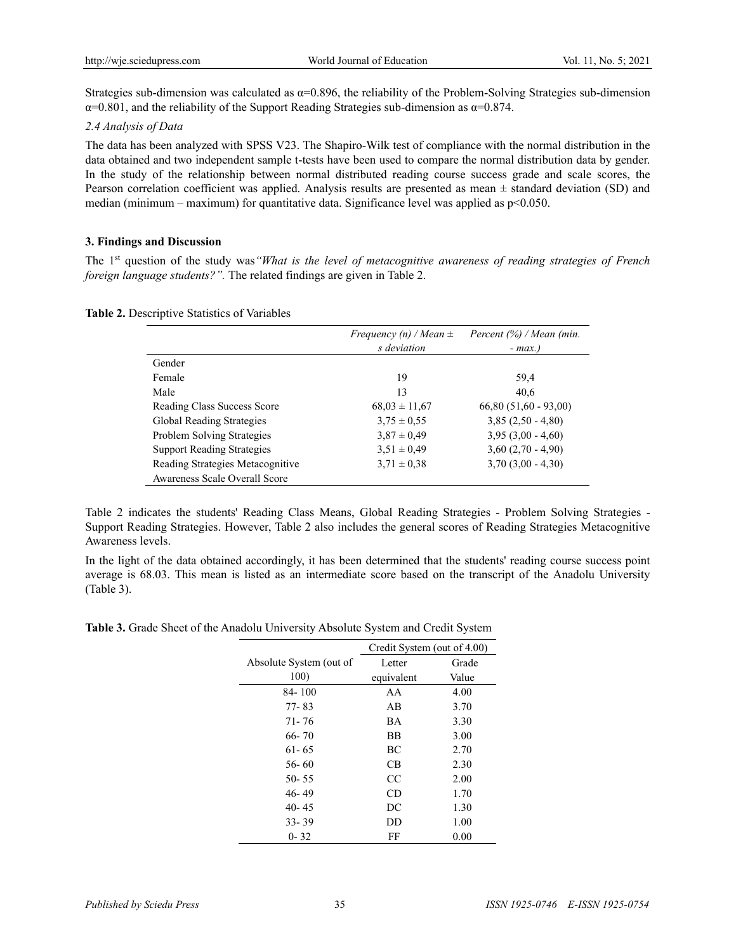Strategies sub-dimension was calculated as  $\alpha$ =0.896, the reliability of the Problem-Solving Strategies sub-dimension  $\alpha$ =0.801, and the reliability of the Support Reading Strategies sub-dimension as  $\alpha$ =0.874.

## *2.4 Analysis of Data*

The data has been analyzed with SPSS V23. The Shapiro-Wilk test of compliance with the normal distribution in the data obtained and two independent sample t-tests have been used to compare the normal distribution data by gender. In the study of the relationship between normal distributed reading course success grade and scale scores, the Pearson correlation coefficient was applied. Analysis results are presented as mean ± standard deviation (SD) and median (minimum – maximum) for quantitative data. Significance level was applied as  $p<0.050$ .

## **3. Findings and Discussion**

The 1st question of the study was*"What is the level of metacognitive awareness of reading strategies of French foreign language students?".* The related findings are given in Table 2.

|                                   | Frequency (n) / Mean $\pm$<br>s deviation | Percent $(\%)$ / Mean (min.<br>$-max.$ ) |
|-----------------------------------|-------------------------------------------|------------------------------------------|
| Gender                            |                                           |                                          |
| Female                            | 19                                        | 59,4                                     |
| Male                              | 13                                        | 40.6                                     |
| Reading Class Success Score       | $68,03 \pm 11,67$                         | $66,80(51,60 - 93,00)$                   |
| Global Reading Strategies         | $3,75 \pm 0,55$                           | $3,85(2,50 - 4,80)$                      |
| Problem Solving Strategies        | $3.87 \pm 0.49$                           | $3,95(3,00 - 4,60)$                      |
| <b>Support Reading Strategies</b> | $3.51 \pm 0.49$                           | $3,60(2,70 - 4,90)$                      |
| Reading Strategies Metacognitive  | $3.71 \pm 0.38$                           | $3,70(3,00 - 4,30)$                      |
| Awareness Scale Overall Score     |                                           |                                          |

**Table 2.** Descriptive Statistics of Variables

Table 2 indicates the students' Reading Class Means, Global Reading Strategies - Problem Solving Strategies - Support Reading Strategies. However, Table 2 also includes the general scores of Reading Strategies Metacognitive Awareness levels.

In the light of the data obtained accordingly, it has been determined that the students' reading course success point average is 68.03. This mean is listed as an intermediate score based on the transcript of the Anadolu University (Table 3).

**Table 3.** Grade Sheet of the Anadolu University Absolute System and Credit System

|                         | Credit System (out of 4.00) |       |
|-------------------------|-----------------------------|-------|
| Absolute System (out of | Letter                      | Grade |
| 100)                    | equivalent                  | Value |
| 84-100                  | AA                          | 4.00  |
| $77 - 83$               | AB                          | 3.70  |
| $71 - 76$               | BA                          | 3.30  |
| $66 - 70$               | BB                          | 3.00  |
| $61 - 65$               | BC                          | 2.70  |
| $56 - 60$               | CB                          | 2.30  |
| $50 - 55$               | CC                          | 2.00  |
| $46 - 49$               | CD                          | 1.70  |
| $40 - 45$               | DC                          | 1.30  |
| $33 - 39$               | DD                          | 1.00  |
| $0 - 32$                | FF                          | 0.00  |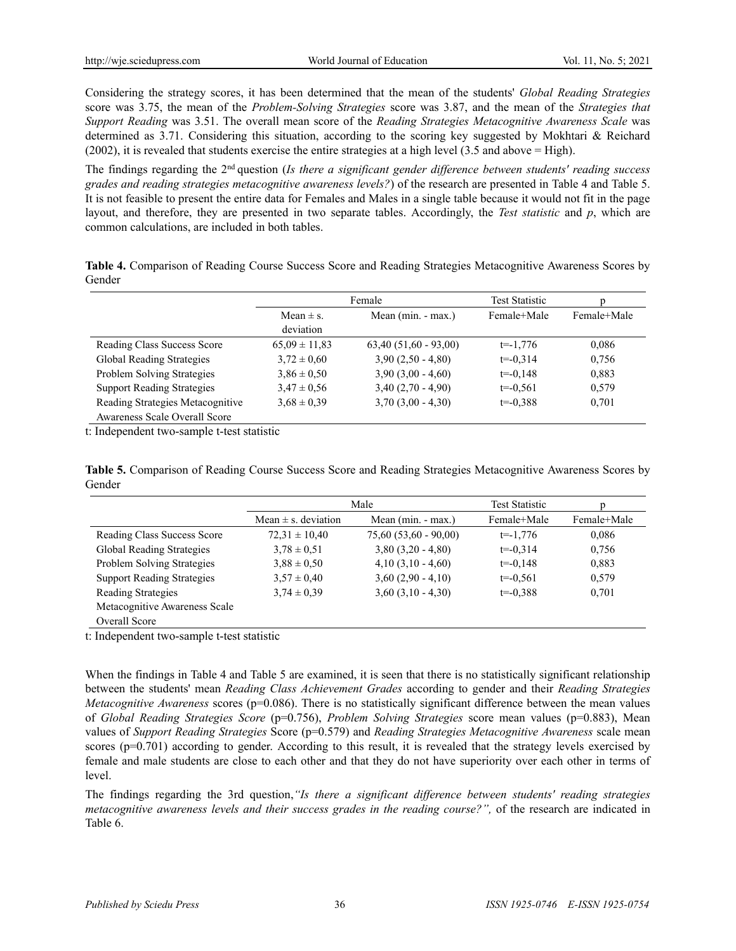Considering the strategy scores, it has been determined that the mean of the students' *Global Reading Strategies* score was 3.75, the mean of the *Problem-Solving Strategies* score was 3.87, and the mean of the *Strategies that Support Reading* was 3.51. The overall mean score of the *Reading Strategies Metacognitive Awareness Scale* was determined as 3.71. Considering this situation, according to the scoring key suggested by Mokhtari & Reichard (2002), it is revealed that students exercise the entire strategies at a high level (3.5 and above = High).

The findings regarding the 2nd question (*Is there a significant gender difference between students' reading success grades and reading strategies metacognitive awareness levels?*) of the research are presented in Table 4 and Table 5. It is not feasible to present the entire data for Females and Males in a single table because it would not fit in the page layout, and therefore, they are presented in two separate tables. Accordingly, the *Test statistic* and *p*, which are common calculations, are included in both tables.

**Table 4.** Comparison of Reading Course Success Score and Reading Strategies Metacognitive Awareness Scores by Gender

|                                   | Female                     |                        | <b>Test Statistic</b> |             |
|-----------------------------------|----------------------------|------------------------|-----------------------|-------------|
|                                   | Mean $\pm$ s.<br>deviation | Mean (min. - max.)     | Female+Male           | Female+Male |
| Reading Class Success Score       | $65,09 \pm 11,83$          | $63,40(51,60 - 93,00)$ | $t = -1.776$          | 0.086       |
| Global Reading Strategies         | $3.72 \pm 0.60$            | $3,90(2,50 - 4,80)$    | $t = -0.314$          | 0.756       |
| Problem Solving Strategies        | $3,86 \pm 0.50$            | $3,90(3,00 - 4,60)$    | $t = -0.148$          | 0,883       |
| <b>Support Reading Strategies</b> | $3.47 \pm 0.56$            | $3,40(2,70 - 4,90)$    | $t = -0.561$          | 0,579       |
| Reading Strategies Metacognitive  | $3.68 \pm 0.39$            | $3,70(3,00 - 4,30)$    | $t = -0.388$          | 0,701       |
| Awareness Scale Overall Score     |                            |                        |                       |             |

t: Independent two-sample t-test statistic

**Table 5.** Comparison of Reading Course Success Score and Reading Strategies Metacognitive Awareness Scores by Gender

|                                   | Male                    |                        | <b>Test Statistic</b> |             |
|-----------------------------------|-------------------------|------------------------|-----------------------|-------------|
|                                   | Mean $\pm$ s. deviation | Mean (min. - max.)     | Female+Male           | Female+Male |
| Reading Class Success Score       | $72,31 \pm 10,40$       | $75,60(53,60-90,00)$   | $t = -1,776$          | 0,086       |
| Global Reading Strategies         | $3.78 \pm 0.51$         | $3,80$ $(3,20 - 4,80)$ | $t = -0.314$          | 0,756       |
| Problem Solving Strategies        | $3.88 \pm 0.50$         | $4,10(3,10 - 4,60)$    | $t = -0.148$          | 0,883       |
| <b>Support Reading Strategies</b> | $3.57 \pm 0.40$         | $3,60(2,90 - 4,10)$    | $t = -0.561$          | 0,579       |
| <b>Reading Strategies</b>         | $3,74 \pm 0.39$         | $3,60$ $(3,10 - 4,30)$ | $t = -0.388$          | 0,701       |
| Metacognitive Awareness Scale     |                         |                        |                       |             |
| Overall Score                     |                         |                        |                       |             |

t: Independent two-sample t-test statistic

When the findings in Table 4 and Table 5 are examined, it is seen that there is no statistically significant relationship between the students' mean *Reading Class Achievement Grades* according to gender and their *Reading Strategies Metacognitive Awareness* scores (p=0.086). There is no statistically significant difference between the mean values of *Global Reading Strategies Score* (p=0.756), *Problem Solving Strategies* score mean values (p=0.883), Mean values of *Support Reading Strategies* Score (p=0.579) and *Reading Strategies Metacognitive Awareness* scale mean scores  $(p=0.701)$  according to gender. According to this result, it is revealed that the strategy levels exercised by female and male students are close to each other and that they do not have superiority over each other in terms of level.

The findings regarding the 3rd question,*"Is there a significant difference between students' reading strategies metacognitive awareness levels and their success grades in the reading course?",* of the research are indicated in Table 6.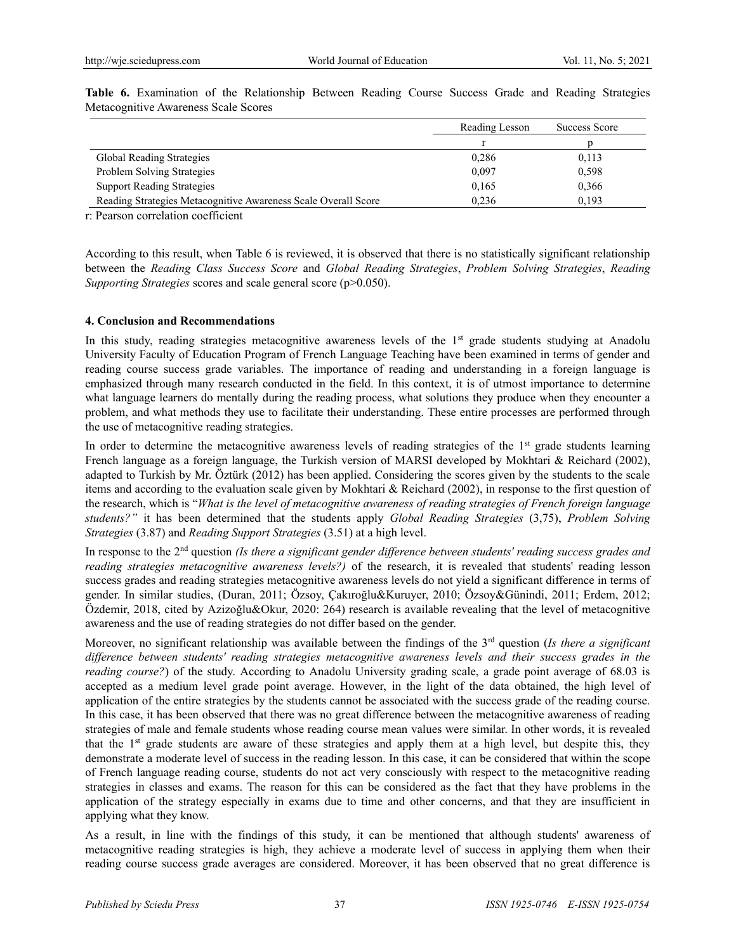|                                                                | Reading Lesson | Success Score |
|----------------------------------------------------------------|----------------|---------------|
|                                                                |                |               |
| Global Reading Strategies                                      | 0,286          | 0,113         |
| Problem Solving Strategies                                     | 0,097          | 0,598         |
| <b>Support Reading Strategies</b>                              | 0,165          | 0,366         |
| Reading Strategies Metacognitive Awareness Scale Overall Score | 0.236          | 0.193         |

**Table 6.** Examination of the Relationship Between Reading Course Success Grade and Reading Strategies Metacognitive Awareness Scale Scores

r: Pearson correlation coefficient

According to this result, when Table 6 is reviewed, it is observed that there is no statistically significant relationship between the *Reading Class Success Score* and *Global Reading Strategies*, *Problem Solving Strategies*, *Reading Supporting Strategies* scores and scale general score (p>0.050).

### **4. Conclusion and Recommendations**

In this study, reading strategies metacognitive awareness levels of the 1<sup>st</sup> grade students studying at Anadolu University Faculty of Education Program of French Language Teaching have been examined in terms of gender and reading course success grade variables. The importance of reading and understanding in a foreign language is emphasized through many research conducted in the field. In this context, it is of utmost importance to determine what language learners do mentally during the reading process, what solutions they produce when they encounter a problem, and what methods they use to facilitate their understanding. These entire processes are performed through the use of metacognitive reading strategies.

In order to determine the metacognitive awareness levels of reading strategies of the  $1<sup>st</sup>$  grade students learning French language as a foreign language, the Turkish version of MARSI developed by Mokhtari & Reichard (2002), adapted to Turkish by Mr. Öztürk (2012) has been applied. Considering the scores given by the students to the scale items and according to the evaluation scale given by Mokhtari & Reichard (2002), in response to the first question of the research, which is "*What is the level of metacognitive awareness of reading strategies of French foreign language students?"* it has been determined that the students apply *Global Reading Strategies* (3,75), *Problem Solving Strategies* (3.87) and *Reading Support Strategies* (3.51) at a high level.

In response to the 2nd question *(Is there a significant gender difference between students' reading success grades and reading strategies metacognitive awareness levels?)* of the research, it is revealed that students' reading lesson success grades and reading strategies metacognitive awareness levels do not yield a significant difference in terms of gender. In similar studies, (Duran, 2011; Özsoy, Çakıroğlu&Kuruyer, 2010; Özsoy&Günindi, 2011; Erdem, 2012; Özdemir, 2018, cited by Azizoğlu&Okur, 2020: 264) research is available revealing that the level of metacognitive awareness and the use of reading strategies do not differ based on the gender.

Moreover, no significant relationship was available between the findings of the 3<sup>rd</sup> question (*Is there a significant difference between students' reading strategies metacognitive awareness levels and their success grades in the reading course?*) of the study. According to Anadolu University grading scale, a grade point average of 68.03 is accepted as a medium level grade point average. However, in the light of the data obtained, the high level of application of the entire strategies by the students cannot be associated with the success grade of the reading course. In this case, it has been observed that there was no great difference between the metacognitive awareness of reading strategies of male and female students whose reading course mean values were similar. In other words, it is revealed that the 1<sup>st</sup> grade students are aware of these strategies and apply them at a high level, but despite this, they demonstrate a moderate level of success in the reading lesson. In this case, it can be considered that within the scope of French language reading course, students do not act very consciously with respect to the metacognitive reading strategies in classes and exams. The reason for this can be considered as the fact that they have problems in the application of the strategy especially in exams due to time and other concerns, and that they are insufficient in applying what they know.

As a result, in line with the findings of this study, it can be mentioned that although students' awareness of metacognitive reading strategies is high, they achieve a moderate level of success in applying them when their reading course success grade averages are considered. Moreover, it has been observed that no great difference is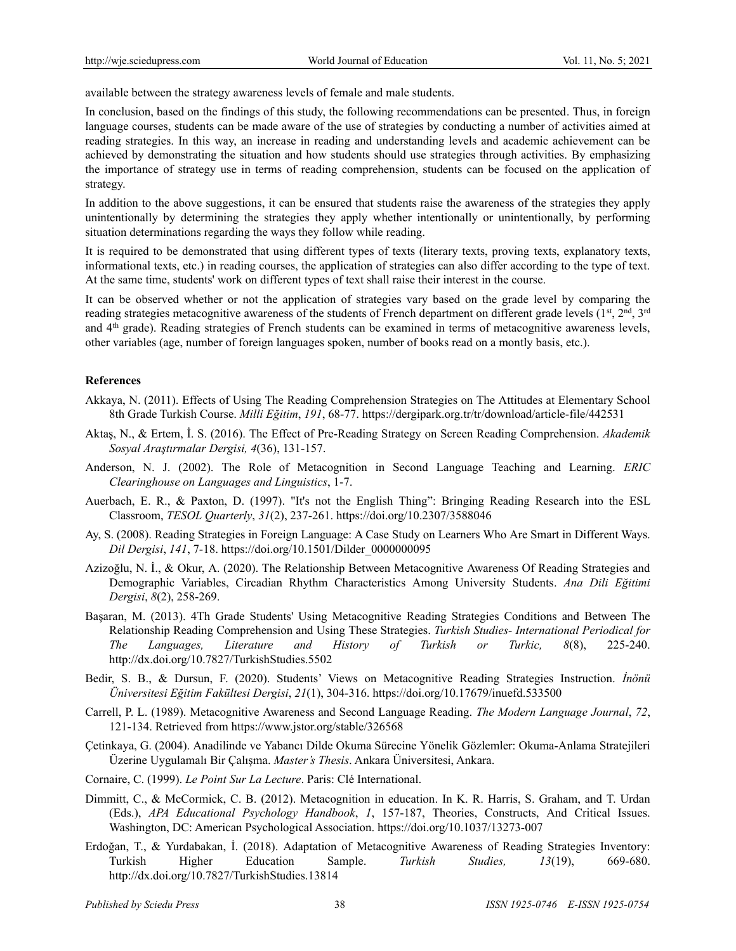available between the strategy awareness levels of female and male students.

In conclusion, based on the findings of this study, the following recommendations can be presented. Thus, in foreign language courses, students can be made aware of the use of strategies by conducting a number of activities aimed at reading strategies. In this way, an increase in reading and understanding levels and academic achievement can be achieved by demonstrating the situation and how students should use strategies through activities. By emphasizing the importance of strategy use in terms of reading comprehension, students can be focused on the application of strategy.

In addition to the above suggestions, it can be ensured that students raise the awareness of the strategies they apply unintentionally by determining the strategies they apply whether intentionally or unintentionally, by performing situation determinations regarding the ways they follow while reading.

It is required to be demonstrated that using different types of texts (literary texts, proving texts, explanatory texts, informational texts, etc.) in reading courses, the application of strategies can also differ according to the type of text. At the same time, students' work on different types of text shall raise their interest in the course.

It can be observed whether or not the application of strategies vary based on the grade level by comparing the reading strategies metacognitive awareness of the students of French department on different grade levels  $(1<sup>st</sup>, 2<sup>nd</sup>, 3<sup>rd</sup>)$ and 4th grade). Reading strategies of French students can be examined in terms of metacognitive awareness levels, other variables (age, number of foreign languages spoken, number of books read on a montly basis, etc.).

## **References**

- Akkaya, N. (2011). Effects of Using The Reading Comprehension Strategies on The Attitudes at Elementary School 8th Grade Turkish Course. *Milli Eğitim*, *191*, 68-77. https://dergipark.org.tr/tr/download/article-file/442531
- Aktaş, N., & Ertem, İ. S. (2016). The Effect of Pre-Reading Strategy on Screen Reading Comprehension. *Akademik Sosyal Araştırmalar Dergisi, 4*(36), 131-157.
- Anderson, N. J. (2002). The Role of Metacognition in Second Language Teaching and Learning. *ERIC Clearinghouse on Languages and Linguistics*, 1-7.
- Auerbach, E. R., & Paxton, D. (1997). "It's not the English Thing": Bringing Reading Research into the ESL Classroom, *TESOL Quarterly*, *31*(2), 237-261. <https://doi.org/10.2307/3588046>
- Ay, S. (2008). Reading Strategies in Foreign Language: A Case Study on Learners Who Are Smart in Different Ways. *Dil Dergisi*, *141*, 7-18. [https://doi.org/10.1501/Dilder\\_0000000095](https://doi.org/10.1501/Dilder_0000000095)
- Azizoğlu, N. İ., & Okur, A. (2020). The Relationship Between Metacognitive Awareness Of Reading Strategies and Demographic Variables, Circadian Rhythm Characteristics Among University Students. *Ana Dili Eğitimi Dergisi*, *8*(2), 258-269.
- Başaran, M. (2013). 4Th Grade Students' Using Metacognitive Reading Strategies Conditions and Between The Relationship Reading Comprehension and Using These Strategies. *Turkish Studies- International Periodical for The Languages, Literature and History of Turkish or Turkic, 8*(8), 225-240. http://dx.doi.org/10.7827/TurkishStudies.5502
- Bedir, S. B., & Dursun, F. (2020). Students' Views on Metacognitive Reading Strategies Instruction. *İnönü Üniversitesi Eğitim Fakültesi Dergisi*, *21*(1), 304-316. <https://doi.org/10.17679/inuefd.533500>
- Carrell, P. L. (1989). Metacognitive Awareness and Second Language Reading. *The Modern Language Journal*, *72*, 121-134. Retrieved from https://www.jstor.org/stable/326568
- Çetinkaya, G. (2004). Anadilinde ve Yabancı Dilde Okuma Sürecine Yönelik Gözlemler: Okuma-Anlama Stratejileri Üzerine Uygulamalı Bir Çalışma. *Master's Thesis*. Ankara Üniversitesi, Ankara.
- Cornaire, C. (1999). *Le Point Sur La Lecture*. Paris: Clé International.
- Dimmitt, C., & McCormick, C. B. (2012). Metacognition in education. In K. R. Harris, S. Graham, and T. Urdan (Eds.), *APA Educational Psychology Handbook*, *1*, 157-187, Theories, Constructs, And Critical Issues. Washington, DC: American Psychological Association. https://doi.org/10.1037/13273-007
- Erdoğan, T., & Yurdabakan, İ. (2018). Adaptation of Metacognitive Awareness of Reading Strategies Inventory: Turkish Higher Education Sample. *Turkish Studies, 13*(19), 669-680. <http://dx.doi.org/10.7827/TurkishStudies.13814>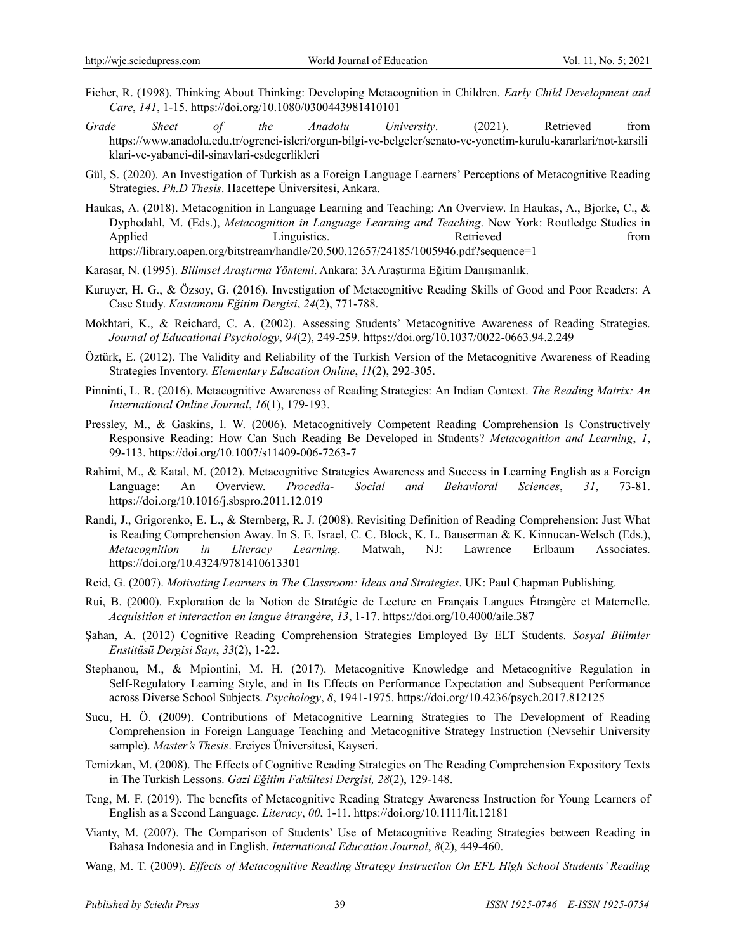- Ficher, R. (1998). Thinking About Thinking: Developing Metacognition in Children. *Early Child Development and Care*, *141*, 1-15. https://doi.org[/10.1080/0300443981410101](http://dx.doi.org/10.1080/0300443981410101)
- *Grade Sheet of the Anadolu University*. (2021). Retrieved from [https://www.anadolu.edu.tr/ogrenci-isleri/orgun-bilgi-ve-belgeler/senato-ve-yonetim-kurulu-kararlari/not-karsili](https://www.anadolu.edu.tr/ogrenci-isleri/orgun-bilgi-ve-belgeler/senato-ve-yonetim-kurulu-kararlari/not-karsiliklari-ve-yabanci-dil-sinavlari-esdegerlikleri) [klari-ve-yabanci-dil-sinavlari-esdegerlikleri](https://www.anadolu.edu.tr/ogrenci-isleri/orgun-bilgi-ve-belgeler/senato-ve-yonetim-kurulu-kararlari/not-karsiliklari-ve-yabanci-dil-sinavlari-esdegerlikleri)
- Gül, S. (2020). An Investigation of Turkish as a Foreign Language Learners' Perceptions of Metacognitive Reading Strategies. *Ph.D Thesis*. Hacettepe Üniversitesi, Ankara.
- Haukas, A. (2018). Metacognition in Language Learning and Teaching: An Overview. In Haukas, A., Bjorke, C., & Dyphedahl, M. (Eds.), *Metacognition in Language Learning and Teaching*. New York: Routledge Studies in Applied Linguistics. Retrieved from https://library.oapen.org/bitstream/handle/20.500.12657/24185/1005946.pdf?sequence=1

Karasar, N. (1995). *Bilimsel Araştırma Yöntemi*. Ankara: 3A Araştırma Eğitim Danışmanlık.

- Kuruyer, H. G., & Özsoy, G. (2016). Investigation of Metacognitive Reading Skills of Good and Poor Readers: A Case Study. *Kastamonu Eğitim Dergisi*, *24*(2), 771-788.
- Mokhtari, K., & Reichard, C. A. (2002). Assessing Students' Metacognitive Awareness of Reading Strategies. *Journal of Educational Psychology*, *94*(2), 249-259. https://doi.org[/10.1037/0022-0663.94.2.249](http://dx.doi.org/10.1037/0022-0663.94.2.249)
- Öztürk, E. (2012). The Validity and Reliability of the Turkish Version of the Metacognitive Awareness of Reading Strategies Inventory. *Elementary Education Online*, *11*(2), 292-305.
- Pinninti, L. R. (2016). Metacognitive Awareness of Reading Strategies: An Indian Context. *The Reading Matrix: An International Online Journal*, *16*(1), 179-193.
- Pressley, M., & Gaskins, I. W. (2006). Metacognitively Competent Reading Comprehension Is Constructively Responsive Reading: How Can Such Reading Be Developed in Students? *Metacognition and Learning*, *1*, 99-113. https://doi.org/10.1007/s11409-006-7263-7
- Rahimi, M., & Katal, M. (2012). Metacognitive Strategies Awareness and Success in Learning English as a Foreign Language: An Overview. *Procedia- Social and Behavioral Sciences*, *31*, 73-81. https://doi.org[/10.1016/j.sbspro.2011.12.019](http://dx.doi.org/10.1016/j.sbspro.2011.12.019)
- Randi, J., Grigorenko, E. L., & Sternberg, R. J. (2008). Revisiting Definition of Reading Comprehension: Just What is Reading Comprehension Away. In S. E. Israel, C. C. Block, K. L. Bauserman & K. Kinnucan-Welsch (Eds.), *Metacognition in Literacy Learning*. Matwah, NJ: Lawrence Erlbaum Associates. <https://doi.org/10.4324/9781410613301>
- Reid, G. (2007). *Motivating Learners in The Classroom: Ideas and Strategies*. UK: Paul Chapman Publishing.
- Rui, B. (2000). Exploration de la Notion de Stratégie de Lecture en Français Langues Étrangère et Maternelle. *Acquisition et interaction en langue étrangère*, *13*, 1-17. <https://doi.org/10.4000/aile.387>
- Şahan, A. (2012) Cognitive Reading Comprehension Strategies Employed By ELT Students. *Sosyal Bilimler Enstitüsü Dergisi Sayı*, *33*(2), 1-22.
- Stephanou, M., & Mpiontini, M. H. (2017). Metacognitive Knowledge and Metacognitive Regulation in Self-Regulatory Learning Style, and in Its Effects on Performance Expectation and Subsequent Performance across Diverse School Subjects. *Psychology*, *8*, 1941-1975. https://doi.org[/10.4236/psych.2017.812125](https://doi.org/10.4236/psych.2017.812125)
- Sucu, H. Ö. (2009). Contributions of Metacognitive Learning Strategies to The Development of Reading Comprehension in Foreign Language Teaching and Metacognitive Strategy Instruction (Nevsehir University sample). *Master's Thesis*. Erciyes Üniversitesi, Kayseri.
- Temizkan, M. (2008). The Effects of Cognitive Reading Strategies on The Reading Comprehension Expository Texts in The Turkish Lessons. *Gazi Eğitim Fakültesi Dergisi, 28*(2), 129-148.
- Teng, M. F. (2019). The benefits of Metacognitive Reading Strategy Awareness Instruction for Young Learners of English as a Second Language. *Literacy*, *00*, 1-11. <https://doi.org/10.1111/lit.12181>
- Vianty, M. (2007). The Comparison of Students' Use of Metacognitive Reading Strategies between Reading in Bahasa Indonesia and in English. *International Education Journal*, *8*(2), 449-460.
- Wang, M. T. (2009). *Effects of Metacognitive Reading Strategy Instruction On EFL High School Students' Reading*